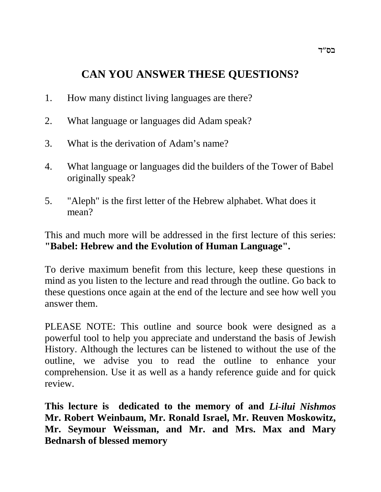# **CAN YOU ANSWER THESE QUESTIONS?**

- 1. How many distinct living languages are there?
- 2. What language or languages did Adam speak?
- 3. What is the derivation of Adam's name?
- 4. What language or languages did the builders of the Tower of Babel originally speak?
- 5. "Aleph" is the first letter of the Hebrew alphabet. What does it mean?

This and much more will be addressed in the first lecture of this series: **"Babel: Hebrew and the Evolution of Human Language".**

To derive maximum benefit from this lecture, keep these questions in mind as you listen to the lecture and read through the outline. Go back to these questions once again at the end of the lecture and see how well you answer them.

PLEASE NOTE: This outline and source book were designed as a powerful tool to help you appreciate and understand the basis of Jewish History. Although the lectures can be listened to without the use of the outline, we advise you to read the outline to enhance your comprehension. Use it as well as a handy reference guide and for quick review.

**This lecture is dedicated to the memory of and** *Li-ilui Nishmos* **Mr. Robert Weinbaum, Mr. Ronald Israel, Mr. Reuven Moskowitz, Mr. Seymour Weissman, and Mr. and Mrs. Max and Mary Bednarsh of blessed memory**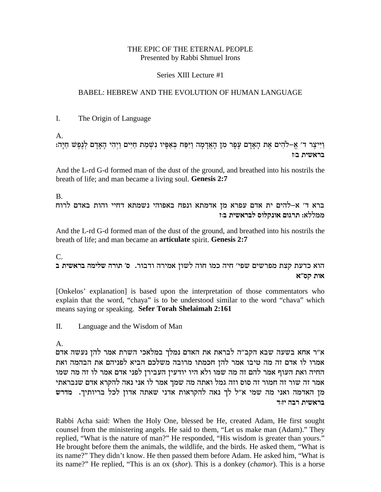#### THE EPIC OF THE ETERNAL PEOPLE Presented by Rabbi Shmuel Irons

#### Series XIII Lecture #1

#### BABEL: HEBREW AND THE EVOLUTION OF HUMAN LANGUAGE

L. The Origin of Language

 $\mathsf{A}$ .

וַיִּיצֵר ד' אֵ–לֹהִים אֶת הָאַדָם עַפַר מְן הָאֲדָמָה וַיִּפַּח בְּאַפִּיו נִשְׁמַת חַיִּים וַיִהִי הָאָדָם לְנֵפֵשׁ חַיַּה: בראשית ב:ז

And the L-rd G-d formed man of the dust of the ground, and breathed into his nostrils the breath of life; and man became a living soul. Genesis 2:7

 $B<sub>1</sub>$ 

ברא ד' א–להים ית אדם עפרא מן אדמתא ונפח באפוהי נשמתא דחיי והות באדם לרוח ממללא: תרגום אונקלוס לבראשית ב:ז

And the L-rd G-d formed man of the dust of the ground, and breathed into his nostrils the breath of life; and man became an **articulate** spirit. Genesis 2:7

 $C_{\cdot}$ 

הוא כדעת קצת מפרשים שפי׳ חיה כמו חוה לשון אמירה ודבור. ס׳ תורה שלימה בראשית ב אות קס״א

[Onkelos' explanation] is based upon the interpretation of those commentators who explain that the word, "chaya" is to be understood similar to the word "chaya" which means saying or speaking. Sefer Torah Shelaimah 2:161

Language and the Wisdom of Man  $\Pi$ 

 $A_{\cdot}$ 

א״ר אחא בשעה שבא הקב״ה לבראת את האדם נמלך במלאכי השרת אמר להן נעשה אדם אמרו לו אדם זה מה טיבו אמר להן חכמתו מרובה משלכם הביא לפניהם את הבהמה ואת החיה ואת העוף אמר להם זה מה שמו ולא היו יודעין העבירן לפני אדם אמר לו זה מה שמו אמר זה שור זה חמור זה סוס וזה גמל ואתה מה שמך אמר לו אני נאה להקרא אדם שנבראתי מן האדמה ואני מה שמי א"ל לך נאה להקראות אדני שאתה אדון לכל בריותיך. מדרש בראשית רבה יזוד

Rabbi Acha said: When the Holy One, blessed be He, created Adam, He first sought counsel from the ministering angels. He said to them, "Let us make man (Adam)." They replied, "What is the nature of man?" He responded, "His wisdom is greater than yours." He brought before them the animals, the wildlife, and the birds. He asked them, "What is its name?" They didn't know. He then passed them before Adam. He asked him, "What is its name?" He replied, "This is an ox (shor). This is a donkey (chamor). This is a horse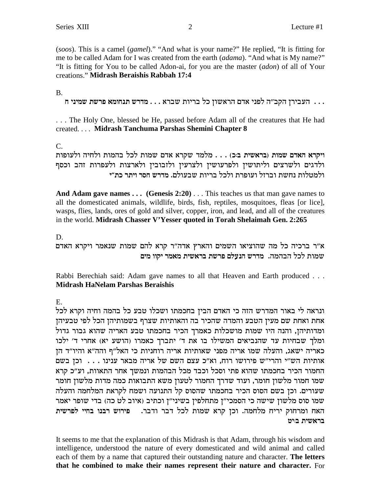(soos). This is a camel (gamel)." "And what is your name?" He replied, "It is fitting for me to be called Adam for I was created from the earth (adama). "And what is My name?" "It is fitting for You to be called Adon-ai, for you are the master *(adon)* of all of Your creations." Midrash Beraishis Rabbah 17:4

#### $B<sub>1</sub>$

... העבירן הקב"ה לפני אדם הראשון כל בריות שברא... מדרש תנחומא פרשת שמיני ח

... The Holy One, blessed be He, passed before Adam all of the creatures that He had created.... Midrash Tanchuma Parshas Shemini Chapter 8

 $C_{\cdot}$ 

ויקרא האדם שמות (בראשית ב:כ) . . . מלמד שקרא אדם שמות לכל בהמות ולחיה ולעופות ולדגים ולשרצים וליתושין ולפרעושין ולצרעין ולזבובין ולארצות ולעפרות זהב וכסף ולמטלות נחשת וברזל ועופרת ולכל בריות שבעולם. מדרש חסר ויתר כת"י

And Adam gave names  $\dots$  (Genesis 2:20)  $\dots$  This teaches us that man gave names to all the domesticated animals, wildlife, birds, fish, reptiles, mosquitoes, fleas [or lice], wasps, flies, lands, ores of gold and silver, copper, iron, and lead, and all of the creatures in the world. Midrash Chasser V'Yesser quoted in Torah Shelaimah Gen. 2:265

D.

א"ר ברכיה כל מה שהוציאו השמים והארץ אדה"ר קרא להם שמות שנאמר ויקרא האדם שמות לכל הבהמה. מדרש הנעלם פרשת בראשית מאמר יקוו מים

Rabbi Berechiah said: Adam gave names to all that Heaven and Earth produced . . . **Midrash HaNelam Parshas Beraishis** 

 $E_{\perp}$ 

ונראה לי באור המדרש הזה כי האדם הבין בחכמתו ושכלו טבע כל בהמה וחיה וקרא לכל אחת ואחת שם מעין הטבע והמדה שהכיר בה והאותיות שצרף בשמותיהן הכל לפי טבעיהן ומדותיהן, והנה היו שמות מושכלות כאמרך הכיר בחכמתו טבע האריה שהוא גבור גדול ומלך שבחיות עד שהנביאים המשילו בו את ד' יתברך כאמרו (הושע יא) אחרי ד' ילכו כאריה ישאג, והעלה שמו אריה מפני שאותיות אריה רוחניות כי האל"ף והה"א והיו"ד הן אותיות הש"י והרי"ש פירושו רוח, וא"כ עצם השם של אריה מבאר ענינו . . . . וכן בשם החמור הכיר בחכמתו שהוא פתי וסכל וכבד מכל הבהמות ונמשך אחר התאוות, וע"כ קרא שמו חמור מלשון חומר, ועוד שדרך החמור לטעון משא התבואות כמה מדות מלשון חומר שעורים. וכן בשם הסוס הכיר בחכמתו שהסוס קל התנועה ושמח לקראת המלחמה והעלה שמו סוס מלשון שישה כי הסמכי"ן מתחלפין בשיני"ן וכתיב (איוב לט כה) בדי שופר יאמר האח ומרחוק יריח מלחמה. וכן קרא שמות לכל דבר ודבר. - פירוש רבנו בחיי לפרשית בראשית ביט

It seems to me that the explanation of this Midrash is that Adam, through his wisdom and intelligence, understood the nature of every domesticated and wild animal and called each of them by a name that captured their outstanding nature and character. The letters that he combined to make their names represent their nature and character. For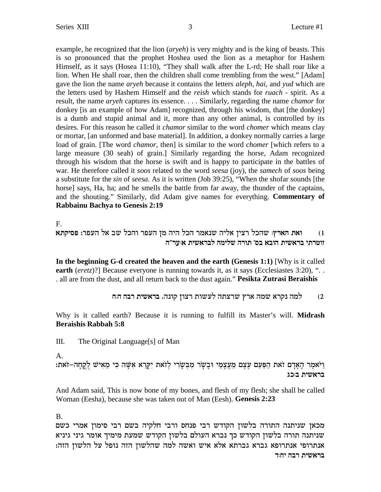example, he recognized that the lion (*aryeh*) is very mighty and is the king of beasts. This is so pronounced that the prophet Hoshea used the lion as a metaphor for Hashem Himself, as it says (Hosea 11:10), "They shall walk after the L-rd; He shall roar like a lion. When He shall roar, then the children shall come trembling from the west." [Adam] gave the lion the name *aryeh* because it contains the letters *aleph, hai,* and *yud* which are the letters used by Hashem Himself and the *reish* which stands for *ruach* - spirit. As a result, the name *aryeh* captures its essence. . . . Similarly, regarding the name *chamor* for donkey [is an example of how Adam] recognized, through his wisdom, that [the donkey] is a dumb and stupid animal and it, more than any other animal, is controlled by its desires. For this reason he called it *chamor* similar to the word *chomer* which means clay or mortar, [an unformed and base material]. In addition, a donkey normally carries a large load of grain. [The word *chamor*, then] is similar to the word *chomer* [which refers to a large measure (30 seah) of grain.] Similarly regarding the horse, Adam recognized through his wisdom that the horse is swift and is happy to participate in the battles of war. He therefore called it *soos* related to the word *seesa* (joy), the *samech* of *soos* being a substitute for the *sin* of *seesa*. As it is written (Job 39:25), "When the shofar sounds [the horse] says, Ha, ha; and he smells the battle from far away, the thunder of the captains, and the shouting." Similarly, did Adam give names for everything. **Commentary of Rabbainu Bachya to Genesis 2:19**

F.

**`zwiqt** :xtrd l` ay lkde xtrd on did lkd xn`py dil` oivx lkdy **:ux`d z`e** (1 **d"xr:` ziy`xal dnily dxez 'qa `aed ziy`xa izxhef**

**In the beginning G-d created the heaven and the earth (Genesis 1:1)** [Why is it called **earth** (*eretz*)?] Because everyone is running towards it, as it says (Ecclesiastes 3:20), "... . all are from the dust, and all return back to the dust again."**Pesikta Zutrasi Beraishis**

**g:d dax ziy`xa** .dpew oevx zeyrl dzvxy ux` dny `xwp dnl (2

Why is it called earth? Because it is running to fulfill its Master's will. **Midrash Beraishis Rabbah 5:8**

III. The Original Language[s] of Man

A.

:ניֹאמֵר הָאַדָם זֹאת הַפַּעַם עֵצֵם מֵעֲצָמַי וּבָשָׂר מִבְּשַׂרִי לְזֹאת יִקַרֵא אִשָּׁה כִּי מֵאִישׁ לְקֵחָה **בראשית** ב:כנ

And Adam said, This is now bone of my bones, and flesh of my flesh; she shall be called Woman (Eesha), because she was taken out of Man (Eesh). **Genesis 2:23**

B.

מכאן שניתנה התורה בלשון הקודש רבי פנחס ורבי חלקיה בשם רבי סימון אמרי כשם שניתנה תורה בלשון הקודש כך נברא העולם בלשון הקודש שמעת מימיך אומר גיני גיניא :מנתרופי אנתרופא גברא גברתא אלא איש ואשה למה שהלשון הזה נופל על הלשון הזה בראשית רבה יחוד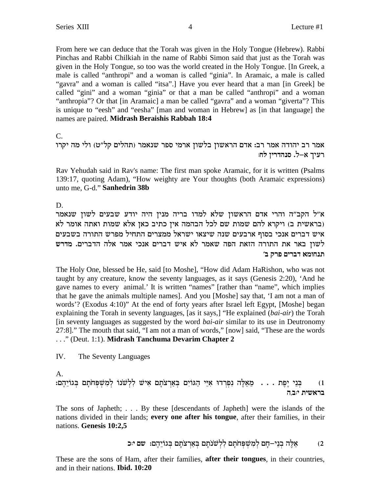From here we can deduce that the Torah was given in the Holy Tongue (Hebrew). Rabbi Pinchas and Rabbi Chilkiah in the name of Rabbi Simon said that just as the Torah was given in the Holy Tongue, so too was the world created in the Holy Tongue. [In Greek, a male is called "anthropi" and a woman is called "ginia". In Aramaic, a male is called "gavra" and a woman is called "itsa".] Have you ever heard that a man [in Greek] be called "gini" and a woman "ginia" or that a man be called "anthropi" and a woman "anthropia"? Or that [in Aramaic] a man be called "gavra" and a woman "giverta"? This is unique to "eesh" and "eesha" [man and woman in Hebrew] as [in that language] the names are paired. Midrash Beraishis Rabbah 18:4

 $C_{\cdot}$ 

אמר רב יהודה אמר רב: אדם הראשון בלשון ארמי ספר שנאמר (תהלים קל"ט) ולי מה יקרו רעיך א–ל. סנהדרין לח:

Rav Yehudah said in Rav's name: The first man spoke Aramaic, for it is written (Psalms 139:17, quoting Adam), "How weighty are Your thoughts (both Aramaic expressions) unto me, G-d." Sanhedrin 38b

D.

א״ל הקב״ה והרי אדם הראשון שלא למדו בריה מנין היה יודע שבעים לשון שנאמר (בראשית ב) ויקרא להם שמות שם לכל הבהמה אין כתיב כאן אלא שמות ואתה אומר לא איש דברים אנכי בסוף ארבעים שנה שיצאו ישראל ממצרים התחיל מפרש התורה בשבעים לשון באר את התורה הזאת הפה שאמר לא איש דברים אנכי אמר אלה הדברים. מדרש תנחומא דברים פרק ב׳

The Holy One, blessed be He, said [to Moshe], "How did Adam HaRishon, who was not taught by any creature, know the seventy languages, as it says (Genesis 2:20), 'And he gave names to every animal.' It is written "names" [rather than "name", which implies that he gave the animals multiple names]. And you [Moshe] say that, 'I am not a man of words'? (Exodus 4:10)" At the end of forty years after Israel left Egypt, [Moshe] began explaining the Torah in seventy languages, [as it says,] "He explained *(bai-air)* the Torah [in seventy languages as suggested by the word *bai-air* similar to its use in Deutronomy 27:8]." The mouth that said, "I am not a man of words," [now] said, "These are the words ..." (Deut. 1:1). Midrash Tanchuma Devarim Chapter 2

IV. The Seventy Languages

A.

בְּנֵי יֶפֶת . . . מֵאֵלֶּה נִפְרְדוּ אִיֵּי הַגּוֹיִם בְּאַרְצֹתָם אִישׁ לִלְשֹׁנוֹ לְמִשְׁפְחֹתָם בְּגוֹיֵהֶם:  $(1)$ בראשית יבה

The sons of Japheth; ... By these [descendants of Japheth] were the islands of the nations divided in their lands; every one after his tongue, after their families, in their nations. Genesis 10:2,5

> אֵלֶה בְנֵי–חָם לְמִשְׁפְחֹתָם לִלְשׁנֹתָם בְּאַרִצֹתָם בְּגוֹיֵהֶם: שם יּכּ  $(2)$

These are the sons of Ham, after their families, **after their tongues**, in their countries, and in their nations. Ibid. 10:20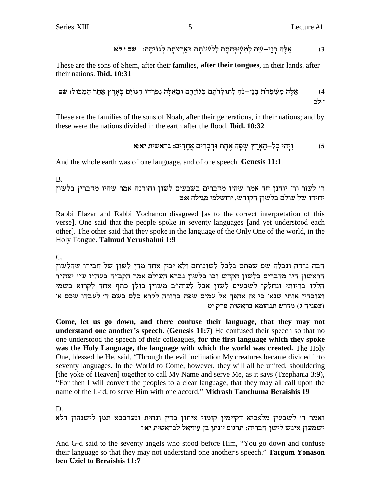These are the sons of Shem, after their families, **after their tongues**, in their lands, after their nations. **Ibid. 10:31** 

These are the families of the sons of Noah, after their generations, in their nations; and by these were the nations divided in the earth after the flood. **Ibid. 10:32** 

And the whole earth was of one language, and of one speech. Genesis 11:1

 $B<sub>1</sub>$ 

ר׳ לעזר ור׳ יוחנן חד אמר שהיו מדברים בשבעים לשון וחורנה אמר שהיו מדברין בלשון יחידו של עולם בלשון הקודש. ירושלמי מגילה אוט

Rabbi Elazar and Rabbi Yochanon disagreed [as to the correct interpretation of this verse]. One said that the people spoke in seventy languages [and yet understood each other]. The other said that they spoke in the language of the Only One of the world, in the Holy Tongue. Talmud Yerushalmi 1:9

 $C_{\cdot}$ 

הבה נרדה ונבלה שם שפתם בלבל לשונותם ולא יבין אחד מהן לשון של חבירו שהלשון הראשון היו מדברים בלשון הקדש ובו בלשון נברא העולם אמר הקב"ה בעה"ז ע"י יצה"ר חלקו בריותי ונחלקו לשבעים לשון אבל לעוה"ב משוין כולן כתף אחד לקרוא בשמי ועובדין אותי שנא׳ כי אז אהפך אל עמים שפה ברורה לקרא כלם בשם ד׳ לעבדו שכם א׳ (צפניה ג) מדרש תנחומא בראשית פרק יט

Come, let us go down, and there confuse their language, that they may not understand one another's speech. (Genesis 11:7) He confused their speech so that no one understood the speech of their colleagues, for the first language which they spoke was the Holy Language, the language with which the world was created. The Holy One, blessed be He, said, "Through the evil inclination My creatures became divided into seventy languages. In the World to Come, however, they will all be united, shouldering [the yoke of Heaven] together to call My Name and serve Me, as it says (Tzephania 3:9), "For then I will convert the peoples to a clear language, that they may all call upon the name of the L-rd, to serve Him with one accord." Midrash Tanchuma Beraishis 19

D.

ואמר ד' לשבעין מלאכיא דקיימין קומוי איתון כדין ונחית ונערבבא תמן לישנהון דלא ישמעון אינש לישן חבריה: תרגום יונתן בן עוזיאל לבראשית יאוז

And G-d said to the seventy angels who stood before Him, "You go down and confuse their language so that they may not understand one another's speech." Targum Yonason ben Uziel to Beraishis 11:7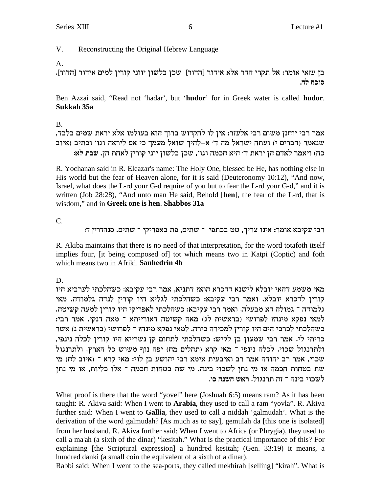## V. Reconstructing the Original Hebrew Language

#### A.

בן עזאי אומר: אל תקרי הדר אלא אידור [הדור] שכן בלשון יווני קורין למים אידור [הדור]. **.dz** לה

Ben Azzai said, "Read not 'hadar', but '**hudor**' for in Greek water is called **hudor**. **Sukkah 35a**

## B.

,אמר רבי יוחנן משום רבי אלעזר: אין לו להקדוש ברוך הוא בעולמו אלא יראת שמים בלבד שנאמר (דברים י) ועתה ישראל מה ד' א-להיך שואל מעמך כי אם ליראה וגו' וכתיב (איוב **:`l zay** .od zg`l oixew ipei oeyla oky ,'ebe dnkg `id 'c z`xi od mc`l xn`ie (gk

R. Yochanan said in R. Eleazar's name: The Holy One, blessed be He, has nothing else in His world but the fear of Heaven alone, for it is said (Deuteronomy 10:12), "And now, Israel, what does the L-rd your G-d require of you but to fear the L-rd your G-d," and it is written (Job 28:28), "And unto man He said, Behold [**hen**], the fear of the L-rd, that is wisdom," and in **Greek one is hen**. **Shabbos 31a**

C.

: רבי עקיבא אומר: אינו צריך, טט בכתפי <sup>-</sup> שתים, פת באפריקי *- ש*תים. סנהדרין ד

R. Akiba maintains that there is no need of that interpretation, for the word totafoth itself implies four, [it being composed of] tot which means two in Katpi (Coptic) and foth which means two in Afriki. **Sanhedrin 4b**

D.

מאי משמע דהאי יובלא לישנא דדכרא הוא? דתניא, אמר רבי עקיבא: כשהלכתי לערביא היו קוריז לדכרא יובלא. ואמר רבי עקיבא: כשהלכתי לגליא היו קוריז לנדה גלמודה. מאי .<br>גלמודה ־ גמולה דא מבעלה. ואמר רבי עקיבא: כשהלכתי לאפריקי היו קורין למעה קשיטה. למאי נפקא מינה? לפרושי (בראשית לג) מאה קשיטה דאורייתא <sup>-</sup> מאה דנקי. אמר רבי: כשהלכתי לכרכי הים היו קורין למכירה כירה. למאי נפקא מינה? <sup>-</sup> לפרושי (בראשית נ) אשר , כריתי לי. אמר רבי שמעוז בז לקיש: כשהלכתי לתחום קז נשרייא היו קוריז לכלה נינפי ולתרנגול שכוי. לכלה נינפי ־ מאי קרא (תהלים מח) יפה נוף משוש כל הארץ. ולתרנגול טכוי, אמר רב יהודה אמר רב ואיבעית אימא רבי יהושע בן לוי: מאי קרא ־ (איוב לח) מי  $x$ שת בטחות חכמה או מי נתן לשכוי בינה. מי שת בטחות חכמה ־ אלו כליות, או מי נתן . לשכוי בינה <sup>–</sup> זה תרנגול. **רא**ש השנה כו

What proof is there that the word "yovel" here (Joshuah 6:5) means ram? As it has been taught: R. Akiva said: When I went to **Arabia**, they used to call a ram "yovla". R. Akiva further said: When I went to **Gallia**, they used to call a niddah 'galmudah'. What is the derivation of the word galmudah? [As much as to say], gemulah da [this one is isolated] from her husband. R. Akiva further said: When I went to Africa (or Phrygia), they used to call a ma'ah (a sixth of the dinar) "kesitah." What is the practical importance of this? For explaining [the Scriptural expression] a hundred kesitah; (Gen. 33:19) it means, a hundred danki (a small coin the equivalent of a sixth of a dinar).

Rabbi said: When I went to the sea-ports, they called mekhirah [selling] "kirah". What is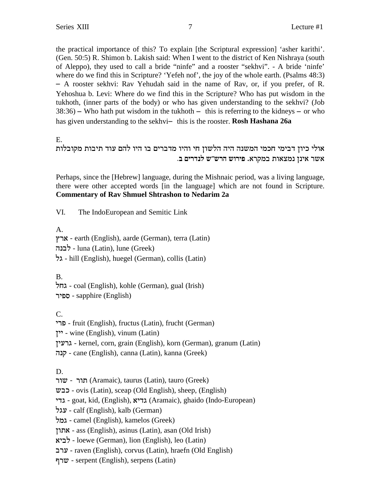the practical importance of this? To explain [the Scriptural expression] 'asher karithi'. (Gen. 50:5) R. Shimon b. Lakish said: When I went to the district of Ken Nishraya (south of Aleppo), they used to call a bride "ninfe" and a rooster "sekhvi". - A bride 'ninfe' where do we find this in Scripture? 'Yefeh nof', the joy of the whole earth. (Psalms 48:3) - A rooster sekhvi: Rav Yehudah said in the name of Rav, or, if you prefer, of R. Yehoshua b. Levi: Where do we find this in the Scripture? Who has put wisdom in the tukhoth, (inner parts of the body) or who has given understanding to the sekhvi? (Job  $38:36$  – Who hath put wisdom in the tukhoth – this is referring to the kidneys – or who has given understanding to the sekhvi- this is the rooster. **Rosh Hashana 26a** 

E.

אולי כיוז דבימי חכמי המשנה היה הלשוז חי והיו מדברים בו היו להם עוד תיבות מקובלות .<br>אשר אינן נמצאות במקרא. פירוש הרש״ש לנדרים ב

Perhaps, since the [Hebrew] language, during the Mishnaic period, was a living language, there were other accepted words [in the language] which are not found in Scripture. **Commentary of Rav Shmuel Shtrashon to Nedarim 2a**

VI. The IndoEuropean and Semitic Link

A.

ux` - earth (English), aarde (German), terra (Latin) לבנה - luna (Latin), lune (Greek)  $\frac{1}{2}$ kill (English), huegel (German), collis (Latin)

B.

lgb - coal (English), kohle (German), gual (Irish) xitq - sapphire (English)

C.

ixt - fruit (English), fructus (Latin), frucht (German)

 $\cdot$  vine (English), vinum (Latin)

oirxb - kernel, corn, grain (English), korn (German), granum (Latin)

dpw - cane (English), canna (Latin), kanna (Greek)

D.

תור - שור (Aramaic), taurus (Latin), tauro (Greek)

yak - ovis (Latin), sceap (Old English), sheep, (English)

icb - goat, kid, (English), `icb (Aramaic), ghaido (Indo-European)

lbr - calf (English), kalb (German)

lnb - camel (English), kamelos (Greek)

oez` - ass (English), asinus (Latin), asan (Old Irish)

 $\forall$ ביא - loewe (German), lion (English), leo (Latin)

axr - raven (English), corvus (Latin), hraefn (Old English)

שרף - serpent (English), serpens (Latin)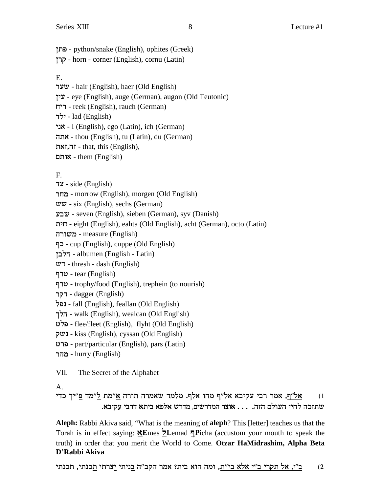- פתן python/snake (English), ophites (Greek)

- horn - corner (English), cornu (Latin)

## $E_{\perp}$

שער - hair (English), haer (Old English) ינין - eye (English), auge (German), augon (Old Teutonic) reek (English), rauch (German) לד - lad (English) אני - I (English), ego (Latin), ich (German) אתה - thou (English), tu (Latin), du (German)  $\tau$ ,  $\tau$ ,  $\tau$ ,  $\tau$  - that, this (English), them (English)

# $F_{\cdot}$

side (English)

- מחר morrow (English), morgen (Old English)

 $w\overline{w}$  - six (English), sechs (German)

שבע - seven (English), sieben (German), syv (Danish)

ית - eight (English), eahta (Old English), acht (German), octo (Latin)

משורה - measure (English)

- כף Cup (English), cuppe (Old English)

- albumen (English - Latin)

 $\mathbf{w}$  - thresh - dash (English)

- tear (English)

טרף - trophy/food (English), trephein (to nourish)

- dagger (English)

- fall (English), feallan (Old English)

- הלך walk (English), wealcan (Old English)

- Elee/fleet (English), flyht (Old English)

- **kiss** (English), cyssan (Old English)

- פרט - part/particular (English), pars (Latin)

- hurry (English)

VII. The Secret of the Alphabet

# A.

אל״ף, אמר רבי עקיבא אל״ף מהו אלף. מלמד שאמרה תורה א״מת ל״מד פ״יך כדי  $(1)$ שתזכה לחיי העולם הזה. . . . אוצר המדרשים, מדרש אלפא ביתא דרבי עקיבא.

Aleph: Rabbi Akiva said, "What is the meaning of aleph? This [letter] teaches us that the Torah is in effect saying: NEmes >Lemad TPicha (accustom your mouth to speak the truth) in order that you merit the World to Come. Otzar HaMidrashim, Alpha Beta D'Rabbi Akiva

ב״י, אל תקרי ב״י אלא בי״ת, ומה הוא בית? אמר הקב״ה <u>ב</u>ניתי יַצרתי <u>ת</u>כנתי, תכנתי  $(2)$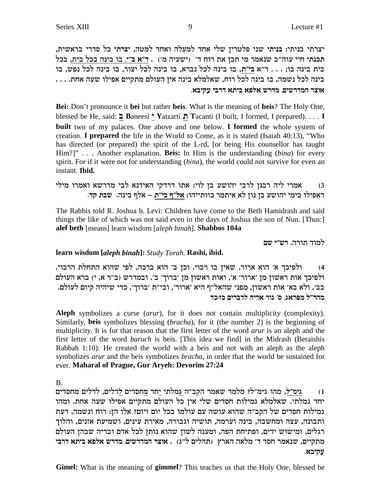יצרתי בניתי: בניתי שני פלטרין שלי אחד למעלה ואחד למטה, יצרתי כל סדרי בראשית, תכנתי חיי עוה"ב שנאמר מי תכן את רוח ד' (ישעיה מ') . ד"א ב"י, בו בינה בכל בית, בכל בית בינה בו; . . . ד"א בי"ת, בו בינה לכל נברא, בו בינה לכל יצור, בו בינה לכל נפש, בו  $\dots$  . בינה לכל נשמה, בו בינה לכל רוח, שאלמלא בינה אין העולם מתקיים אפילו שעה אחת **.`aiwr iaxc `zia `tl` yxcn ,miyxcnd xve`**

**Bei:** Don't pronounce it **bei** but rather **beis**. What is the meaning of **beis**? The Holy One, blessed be He, said: **a B**aneesi **i Y**atzarti **z T**acanti (I built, I formed, I prepared). . . . **I built** two of my palaces. One above and one below. **I formed** the whole system of creation. **I prepared** the life in the World to Come, as it is stated (Isaiah 40:13), "Who has directed (or prepared) the spirit of the L-rd, [or being His counsellor has taught Him?]" . . . Another explanation. **Beis:** In Him is the understanding (*bina*) for every spirit. For if it were not for understanding (*bina*), the world could not survive for even an instant. **Ibid.**

ו) אמרי ליה רבנן לרבי יהושע בן לוי: אתו דרדקי האידנא לבי מדרשא ואמרו מילי i3 **. דאפילו בימי יהושע בן נון לא איתמר כוותייהו: אל"ף בי"ת – אלף בינה. שבת קד** 

The Rabbis told R. Joshua b. Levi: Children have come to the Beth Hamidrash and said things the like of which was not said even in the days of Joshua the son of Nun. [Thus:] **alef beth** [means] learn wisdom [*aleph binah*]. **Shabbos 104a**

למוד תורה. רש״י שם

#### **learn wisdom [***aleph binah***]:** *Study Torah.* **Rashi, ibid.**

4) ולפיכך א׳ הוא ארור, שאיז בו רבוי. וכז ב׳ הוא ברכה, לפי שהוא התחלת הרבוי. ולפיכך אות ראשון מן 'ארור' א', ואות ראשון מן 'ברוך' ב'. ובמדרש (ב"ר א, י) ברא העולם .<br>בב', ולא בא' אות ראשון, מפני שהאל"ף היא 'ארור', ובי"ת 'ברוך', כדי שיהיה קיום לעולם **ck:fk mixacl dix` xeb 'q ,b`xtn l"xdn**

**Aleph** symbolizes a curse (*arur*), for it does not contain multiplicity (complexity). Similarly, **beis** symbolizes blessing (*bracha*), for it (the number 2) is the beginning of multiplicity. It is for that reason that the first letter of the word *arur* is an aleph and the first letter of the word *baruch* is beis. [This idea we find] in the Midrash (Beraishis Rabbah 1:10): He created the world with a beis and not with an aleph as the aleph symbolizes *arur* and the beis symbolizes *bracha*, in order that the world be sustained for ever. **Maharal of Prague, Gur Aryeh: Devorim 27:24**

B.

micqgn milcl ,milc**l** micqg**n** cg**i** izln**b** d"awd xn`y cnln ?l"nib edn ,**l"nib** (1 יחד גמלתי. שאלמלא גמילות חסדים שלי אין כל העולם מתקיים אפילו שעה אחת. ומהו גמילות חסדים של הקב"ה שהוא עושה עם עולמו בכל יום ויום? אלו הן: רוח ונשמה, דעת ותבונה, עצה ומחשבה, בינה וערמה, תושיה וגבורה, מאירת עינים, ושמיעת אזנים, והלוך רגלים, ומישוש ידים, ופתיחת הפה, ומענה לשון שהוא נותן לכל אדם ובריה שבהן העולם **iaxc `zia `tl` yxcn ,miyxcnd xve`** . (b"l mildz) ux`d d`ln 'c cqg xn`py ,miiwzn **.`aiwr**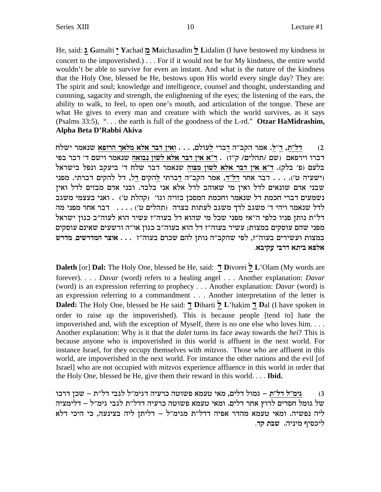He, said:  $\lambda$  Gamalti 'Yachad  $\lambda$  Maichasadim  $\lambda$  Lidalim (I have bestowed my kindness in concert to the impoverished.) . . . For if it would not be for My kindness, the entire world wouldn't be able to survive for even an instant. And what is the nature of the kindness that the Holy One, blessed be He, bestows upon His world every single day? They are: The spirit and soul; knowledge and intelligence, counsel and thought, understanding and cunning, sagacity and strength, the enlightening of the eyes; the listening of the ears, the ability to walk, to feel, to open one's mouth, and articulation of the tongue. These are what He gives to every man and creature with which the world survives, as it says (Psalms 33:5), "... the earth is full of the goodness of the L-rd." Otzar HaMidrashim, Alpha Beta D'Rabbi Akiva

דל״ת, ד״ל. אמר הקב״ה דברי לעולם, . . . ואין דבר אלא מלאך הרופא שנאמר ישלח  $(2)$ דברו וירפאם (שם /תהלים/ ק"ז) . ד"א אין דבר אלא לשון נבואה שנאמר וישם ד' דבר בפי בלעם (פ' בלק). ד"א אין דבר אלא לשון מצוה שנאמר דבר שלח ד' ביעקב ונפל בישראל (ישעיה ט׳). . . . דבר אחר דל״ד, אמר הקב״ה דברתי להקים דל, דל להקים דברתי. מפני שבני אדם שונאים לדל ואין מי שאוהב לדל אלא אני בלבד. ובני אדם מבזים לדל ואין נשמעים דברי חכמת דל שנאמר וחכמת המסכן בזויה וגו׳ (קהלת ט׳) . ואני בעצמי משגב לדל שנאמר ויהי ד' משגב לדך משגב לעתות בצרה (תהלים ט') . . . . . דבר אחר מפני מה דל"ת נותן פניו כלפי ה"א? מפני שכל מי שהוא דל בעוה"ז עשיר הוא לעוה"ב כגון ישראל מפני שהם עוסקים במצות; עשיר בעוה"ז דל הוא בעוה"ב כגון או"ה ורשעים שאינם עוסקים במצות ועשירים בעוה"ז, לפי שהקב"ה נותן להם שכרם בעוה"ז . . . אוצר המדרשים, מדרש אלפא ביתא דרבי עקיבא.

Daleth [or] Dal: The Holy One, blessed be He, said: 7 Divorei > L'Olam (My words are forever).... Davar (word) refers to a healing angel... Another explanation: Davar (word) is an expression referring to prophecy . . . Another explanation: *Davar* (word) is an expression referring to a commandment . . . Another interpretation of the letter is Daled: The Holy One, blessed be He said: 7 Dibarti 7 L'hakim 7 Dal (I have spoken in order to raise up the impoverished). This is because people [tend to] hate the impoverished and, with the exception of Myself, there is no one else who loves him.... Another explanation: Why is it that the *dalet* turns its face away towards the *hei*? This is because anyone who is impoverished in this world is affluent in the next world. For instance Israel, for they occupy themselves with *mitzvos*. Those who are affluent in this world, are impoverished in the next world. For instance the other nations and the evil [of Israel] who are not occupied with *mitzvos* experience affluence in this world in order that the Holy One, blessed be He, give them their reward in this world... Ibid.

גימ״ל דל״ת – גמול דלים, מאי טעמא פשוטה כרעיה דגימ״ל לגבי דל״ת – שכן דרכו  $(3)$ של גומל חסדים לרוץ אחר דלים. ומאי טעמא פשוטה כרעיה דדל״ת לגבי גימ״ל – דלימציה ליה נפשיה. ומאי טעמא מהדר אפיה דדל"ת מגימ"ל – דליתן ליה בצינעה, כי היכי דלא ליכסיף מיניה. שבת קד.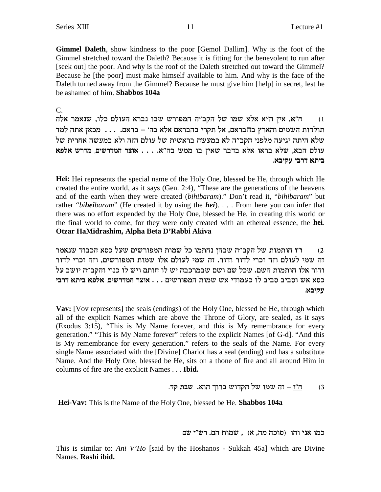Gimmel Daleth, show kindness to the poor [Gemol Dallim]. Why is the foot of the Gimmel stretched toward the Daleth? Because it is fitting for the benevolent to run after [seek out] the poor. And why is the roof of the Daleth stretched out toward the Gimmel? Because he [the poor] must make himself available to him. And why is the face of the Daleth turned away from the Gimmel? Because he must give him [help] in secret, lest he be ashamed of him. Shabbos 104a

 $C_{\cdot}$ 

ה״א, אין ה״א אלא שמו של הקב״ה המפורש שבו נברא העולם כלו, שנאמר אלה  $(1)$ תולדות השמים והארץ בהבראם, אל תקרי בהבראם אלא בה׳ – בראם. . . . . מכאן אתה למד שלא היתה יגיעה מלפני הקב״ה לא במעשה בראשית של עולם הזה ולא במעשה אחרית של י המדרשים, מדרש אלפא הבא, שלא מדרש המש בה"א. . . . אוצר המדרשים, מדרש אלפא ביתא דרבי עקיבא.

**Hei:** Hei represents the special name of the Holy One, blessed be He, through which He created the entire world, as it says (Gen. 2:4), "These are the generations of the heavens and of the earth when they were created (bihibaram)." Don't read it, "bihibaram" but rather "biheibaram" (He created it by using the hei).... From here you can infer that there was no effort expended by the Holy One, blessed be He, in creating this world or the final world to come, for they were only created with an ethereal essence, the hei. Otzar HaMidrashim, Alpha Beta D'Rabbi Akiva

ו״ו חותמות של הקב״ה שבהן נחתמו כל שמות המפורשים שעל כסא הכבוד שנאמר  $(2)$ זה שמי לעולם וזה זכרי לדור ודור. זה שמי לעולם אלו שמות המפורשים, וזה זכרי לדור ודור אלו חותמות השם. שכל שם ושם שבמרכבה יש לו חותם ויש לו כנוי והקב״ה יושב על כסא אש וסביב סביב לו כעמודי אש שמות המפורשים . . . אוצר המדרשים, אלפא ביתא דרבי עקיבא.

**Vav:** [Vov represents] the seals (endings) of the Holy One, blessed be He, through which all of the explicit Names which are above the Throne of Glory, are sealed, as it says (Exodus 3:15), "This is My Name forever, and this is My remembrance for every generation." "This is My Name forever" refers to the explicit Names [of G-d]. "And this is My remembrance for every generation." refers to the seals of the Name. For every single Name associated with the [Divine] Chariot has a seal (ending) and has a substitute Name. And the Holy One, blessed be He, sits on a thone of fire and all around Him in columns of fire are the explicit Names . . . Ibid.

> ה״ו – זה שמו של הקדוש ברוך הוא. שבת קד.  $(3)$

Hei-Vav: This is the Name of the Holy One, blessed be He. Shabbos 104a

כמו אני והו (סוכה מה, א), שמות הם. רש״י שם

This is similar to: Ani V'Ho [said by the Hoshanos - Sukkah 45a] which are Divine Names. Rashi ibid.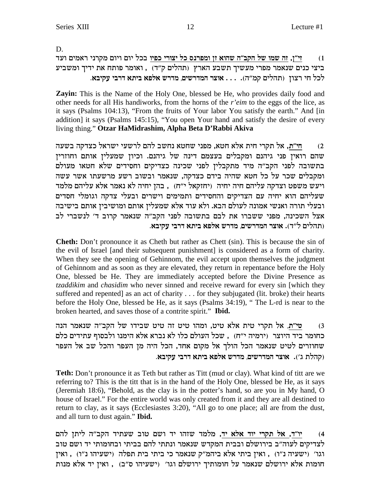D.

זי"ן, זה שמו של הקב"ה שהוא זן ומפרנס כל יצורי כפיו בכל יום ויום מקרני ראמים ועד  $(1)$ ביצי כנים שנאמר מפרי מעשיך תשבע הארץ (תהלים ק"ד) , ואומר פותח את ידיך ומשביע לכל חי רצון (תהלים קמ"ה). . . . אוצר המדרשים, מדרש אלפא ביתא דרבי עקיבא.

Zayin: This is the Name of the Holy One, blessed be He, who provides daily food and other needs for all His handiworks, from the horns of the r'eim to the eggs of the lice, as it says (Psalms 104:13), "From the fruits of Your labor You satisfy the earth." And [in addition] it says (Psalms 145:15), "You open Your hand and satisfy the desire of every living thing." Otzar HaMidrashim, Alpha Beta D'Rabbi Akiva

חי"ת, אל תקרי חית אלא חטא, מפני שחטא נחשב להם לרשעי ישראל כצדקה בשעה  $(2)$ שהם רואין פני גיהנם ומקבלים בעצמם דינה של גיהנם. וכיון שמעלין אותם וחוזרין בתשובה לפני הקב"ה מיד מתקבלין לפני שכינה כצדיקים וחסידים שלא חטאו מעולם ומקבלים שכר על כל חטא שהיה בידם כצדקה, שנאמר ובשוב רשע מרשעתו אשר עשה ויעש משפט וצדקה עליהם חיה יחיה (יחזקאל י"ח), בהן יחיה לא נאמר אלא עליהם מלמד שעליהם הוא יחיה עם הצדיקים והחסידים ותמימים וישרים ובעלי צדקה וגומלי חסדים ובעלי תורה ואנשי אמונה לעולם הבא. ולא עוד אלא שמעלין אותם ומושיבין אותם בישיבה אצל השכינה, מפני ששברו את לבם בתשובה לפני הקב"ה שנאמר קרוב ד' לנשברי לב (תהלים ל״ד). אוצר המדרשים, מדרש אלפא ביתא דרבי עקיבא.

**Cheth:** Don't pronounce it as Cheth but rather as Chett (sin). This is because the sin of the evil of Israel [and their subsequent punishment] is considered as a form of charity. When they see the opening of Gehinnom, the evil accept upon themselves the judgment of Gehinnom and as soon as they are elevated, they return in repentance before the Holy One, blessed be He. They are immediately accepted before the Divine Presence as tzaddikim and chasidim who never sinned and receive reward for every sin [which they suffered and repented] as an act of charity . . . for they subjugated (lit. broke) their hearts before the Holy One, blessed be He, as it says (Psalms 34:19), "The L-rd is near to the broken hearted, and saves those of a contrite spirit." Ibid.

טי״ת, אל תקרי טית אלא טיט, ומהו טיט זה טיט שבידו של הקב״ה שנאמר הנה  $(3)$ כחומר ביד היוצר (ירמיה י"ח), שכל העולם כלו לא נברא אלא הימנו ולבסוף עתידים כלם שחוזרים לטיט שנאמר הכל הולך אל מקום אחד, הכל היה מן העפר והכל שב אל העפר (קהלת ג'). אוצר המדרשים, מדרש אלפא ביתא דרבי עקיבא.

Teth: Don't pronounce it as Teth but rather as Titt (mud or clay). What kind of titt are we referring to? This is the titt that is in the hand of the Holy One, blessed be He, as it says (Jeremiah 18:6), "Behold, as the clay is in the potter's hand, so are you in My hand, O house of Israel." For the entire world was only created from it and they are all destined to return to clay, as it says (Ecclesiastes 3:20), "All go to one place; all are from the dust, and all turn to dust again." Ibid.

יו"ד, אל תקרי יוד אלא יד, מלמד שזהו יד ושם טוב שעתיד הקב"ה ליתן להם  $(4)$ לצדיקים לעוה"ב בירושלם ובבית המקדש שנאמר ונתתי להם בביתי ובחומותי יד ושם טוב וגו׳ (ישעיהו נ"ו) , ואין ביתי אלא ביהמ"ק שנאמר כי ביתי בית תפלה (ישעיהו נ"ו) , ואין חומות אלא ירושלם שנאמר על חומותיך ירושלם וגו׳ (ישעיהו ס"ב) , ואין יד אלא מנות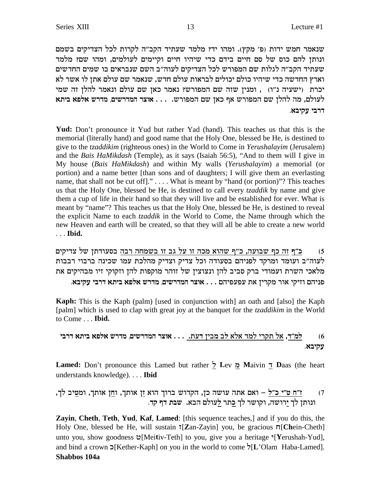שנאמר חמש ידות (פ' מקץ). ומהו יד? מלמד שעתיד הקב"ה לקרות לכל הצדיקים בשמם ונותן להם כוס של סם חיים בידם כדי שיהיו חיים וקיימים לעולמים, ומהו שם? מלמד שעתיד הקב״ה לגלות שם המפורש לכל הצדיקים לעוה״ב השם שנבראים בו שמים החדשים וארץ החדשה כדי שיהיו כולם יכולים לבראות עולם חדש, שנאמר שם עולם אתן לו אשר לא יכרת (ישעיה נ"ו) , ומנין שזה שם המפורש? נאמר כאן שם עולם ונאמר להלן זה שמי לעולם, מה להלן שם המפורש אף כאן שם המפורש. . . . אוצר המדרשים, מדרש אלפא ביתא **דרבי עקיבא.** 

**Yud:** Don't pronounce it Yud but rather Yad (hand). This teaches us that this is the memorial (literally hand) and good name that the Holy One, blessed be He, is destined to give to the *tzaddikim* (righteous ones) in the World to Come in *Yerushalayim* (Jerusalem) and the *Bais HaMikdash* (Temple), as it says (Isaiah 56:5), "And to them will I give in My house (*Bais HaMikdash*) and within My walls (*Yerushalayim*) a memorial (or portion) and a name better [than sons and of daughters; I will give them an everlasting name, that shall not be cut off." . . . . What is meant by "hand (or portion)"? This teaches us that the Holy One, blessed be He, is destined to call every *tzaddik* by name and give them a cup of life in their hand so that they will live and be established for ever. What is meant by "name"? This teaches us that the Holy One, blessed be He, is destined to reveal the explicit Name to each *tzaddik* in the World to Come, the Name through which the new Heaven and earth will be created, so that they will all be able to create a new world . . . **Ibid.**

5) **כ**״ף זה כף שבועה, כ״ף שהוא מכה זו על גב זו בשמחה רבה בסעודתן של צדיקים לעוה"ב ועומד ומרקד לפניהם בסעודה וכל צדיק וצדיק מהלכת עמו שכינה ברבוי רבבות מלאכי השרת ועמודי ברק סביב להן ונצוצין של זוהר מוקפות להן וזקוקי זיו מבהיקים את

**.`aiwr iaxc `zia `tl` yxcn ,miyxcnd xve`** . . . mditrtr z` oixwn xe` iwife mdipt

**Kaph:** This is the Kaph (palm) [used in conjunction with] an oath and [also] the Kaph [palm] which is used to clap with great joy at the banquet for the *tzaddikim* in the World to Come . . . **Ibid.**

```
iaxc `zia `tl` yxcn ,miyxcnd xve` . . . .zrc oian al `l` cnl ixwz l` ,c"nl (6
                                                            .`aiwr
```
**Lamed:** Don't pronounce this Lamed but rather l **L**ev n **M**aivin c **D**aas (the heart understands knowledge). . . . **Ibid**

,jl ai**h**ne ,jze` o**g**e ,jze` o**f** `ed jexa yecwd ,ok dyer dz` m`e - **l"k i"h g"f ונותן לך ירושה, וקושר לך כתר לעולם הבא. שבת דף קד.** (7

**Zayin**, **Cheth**, **Teth**, **Yud**, **Kaf**, **Lamed**: [this sequence teaches,] and if you do this, the Holy One, blessed be He, will sustain  $\tau$ [Zan-Zayin] you, be gracious  $\pi$ [Chein-Cheth] unto you, show goodness  $\mathfrak{v}[M$ eitiv-Teth] to you, give you a heritage  $\mathfrak{v}[Y$ erushah-Yud], and bind a crown  $\sum$ [Kether-Kaph] on you in the world to come  $\sum$ [L'Olam Haba-Lamed]. **Shabbos 104a**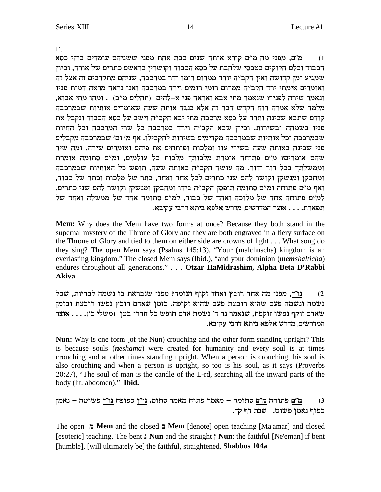E.

`qk ifxa micner mdipyy iptn zg` zaa mipy dze` `xew m"n dn iptn ,**m"n** (1 הכבוד וכלם חקוקים בטכסי שלהבת על כסא הכבוד וקושרין בראשם כתרים של אורה, וכיון שמגיע זמן קדושה ואין הקב"ה יורד ממרום רומו ודר במרכבה, שניהם מתקרבים זה אצל זה ואומרים אימתי ירד הקב"ה ממרום רומי רומים וירד במרכבה ואנו נראה מראה דמות פניו , ונאמר שירה לפניו? שנאמר מתי אבא ואראה פני א–להים (תהלים מ״ב) . ומהו מתי אבוא מלמד שלא אמרה רוח הקדש דבר זה אלא כנגד אותה שעה שאומרים אותיות שבמרכבה קודם שתבא שכינה ותרד על כסא מרכבה מתי יבא הקב"ה וישב על כסא הכבוד ונקבל את פניו בשמחה ובשירות. וכיון שבא הקב"ה וירד במרכבה כל שרי המרכבה וכל החיות שבמרכבה וכל אותיות שבמרכבה מקדימים בשירות להקבילו. אף מ׳ ום׳ שבמרכבה מקבלים פני שכינה באותה שעה בשירי עוז ומלכות ופותחים את פיהם ואומרים שירה. ומה שיר שהם אומרים? מ״ם פתוחה אומרת מלכותד מלכות כל עולמים, ומ״ם סתומה אומרת וממשלתך בכל דור ודור. מה עושה הקב"ה באותה שעה, תופש כל האותיות שבמרכבה , ומחבקז ומנשקז וקושר להם שני כתרים לכל אחד ואחד, כתר של מלכות וכתר של כבוד .<br>ואף מ״ם פתוחה ומ״ם סתומה תופסן הקב״ה בידו ומחבקן ומנשקן וקושר להם שני כתרים למ"ם פתוחה אחד של מלוכה ואחד של כבוד, למ"ם סתומה אחד של ממשלה ואחד של **.`aiwr iaxc `zia `tl` yxcn ,miyxcnd xve`** . . . .zx`tz

**Mem:** Why does the Mem have two forms at once? Because they both stand in the supernal mystery of the Throne of Glory and they are both engraved in a fiery surface on the Throne of Glory and tied to them on either side are crowns of light . . . What song do they sing? The open Mem says (Psalms 145:13), "Your (**m**alchuscha) kingdom is an everlasting kingdom." The closed Mem says (Ibid.), "and your dominion (*memshalticha*) endures throughout all generations." . . . **Otzar HaMidrashim, Alpha Beta D'Rabbi Akiva**

lky ,zeixal dnyp ea z`xapy iptn ?cnere sewf cg`e uaex cg` dn iptn ,**o"ep** (2 נשמה ונשמה פעם שהיא רובצת פעם שהיא זקופה. בזמן שאדם רובץ נפשו רובצת ובזמן wאדם זוקף נפשו זוקפת, שנאמר נר ד' נשמת אדם חופש כל חדרי בטן (משלי כ'). . . . **אוצר .`aiwr iaxc `zia `tl` yxcn ,miyxcnd**

**Nun:** Why is one form [of the Nun) crouching and the other form standing upright? This is because souls (*neshama*) were created for humanity and every soul is at times crouching and at other times standing upright. When a person is crouching, his soul is also crouching and when a person is upright, so too is his soul, as it says (Proverbs 20:27), "The soul of man is the candle of the L-rd, searching all the inward parts of the body (lit. abdomen)." **Ibid.**

on`p - dheyt **o"ep** dtetk **o"ep** ,mezq xn`n gezt xn`n - dnezq **m"n** dgezt **m"n** (3 .<br>כפוף נאמז פשוט. **שבת דף קד** 

The open **n Mem** and the closed **m Mem** [denote] open teaching [Ma'amar] and closed [esoteric] teaching. The bent **p Nun** and the straight **o Nun**: the faithful [Ne'eman] if bent [humble], [will ultimately be] the faithful, straightened. **Shabbos 104a**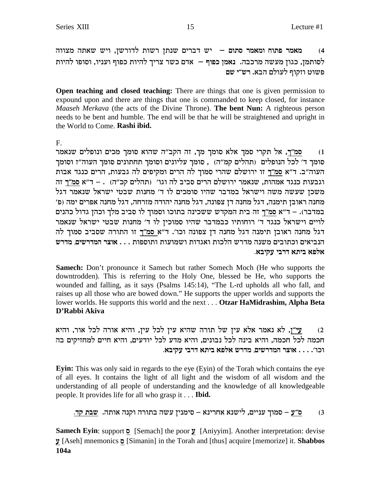מאמר פתוח ומאמר סתום – יש דברים שנתן רשות לדורשן, ויש שאתה מצווה  $(4)$ לסותמן, כגון מעשה מרכבה. נאמן כפוף – אדם כשר צריך להיות כפוף ועניו, וסופו להיות פשוט וזקוף לעולם הבא. רש״י שם

Open teaching and closed teaching: There are things that one is given permission to expound upon and there are things that one is commanded to keep closed, for instance *Maaseh Merkava* (the acts of the Divine Throne). **The bent Nun:** A righteous person needs to be bent and humble. The end will be that he will be straightened and upright in the World to Come. Rashi ibid.

 $F_{\perp}$ 

<u>סמ"ך,</u> אל תקרי סמך אלא סומך מך, זה הקב"ה שהוא סומך מכים ונופלים שנאמר  $(1)$ סומך ד׳ לכל הנופלים (תהלים קמ״ה) , סומך עליונים וסומך תחתונים סומך העוה״ז וסומך העוה"ב. ד"א סמ"ך זו ירושלם שהרי סמוך לה הרים ומקיפים לה גבעות, הרים כנגד אבות וגבעות כנגד אמהות, שנאמר ירושלם הרים סביב לה וגו׳ (תהלים קכ״ה) . – ד״א סמ״ך זה משכז שעשה משה וישראל במדבר שהיו סומכים לו ד׳ מחנות שבטי ישראל שנאמר דגל מחנה ראובן תימנה, דגל מחנה דן צפונה, דגל מחנה יהודה מזרחה, דגל מחנה אפרים ימה (פ׳ במדבר). – ד"א סמ"ך זה בית המקדש ששכינה בתוכו וסמוך לו סביב מלך וכהן גדול כהנים לויים וישראל כנגד ד' רוחותיו כבמדבר שהיו סמוכין לו ד' מחנות שבטי ישראל שנאמר דגל מחנה ראובן תימנה דגל מחנה דן צפונה וכו׳. ד"א סמ"ך זו התורה שסביב סמוך לה הנביאים וכתובים משנה מדרש הלכות ואגדות ושמועות ותוספות . . . אוצר המדרשים, מדרש אלפא ביתא דרבי עקיבא.

**Samech:** Don't pronounce it Samech but rather Somech Moch (He who supports the downtrodden). This is referring to the Holy One, blessed be He, who supports the wounded and falling, as it says (Psalms 145:14), "The L-rd upholds all who fall, and raises up all those who are bowed down." He supports the upper worlds and supports the lower worlds. He supports this world and the next . . . Otzar HaMidrashim, Alpha Beta D'Rabbi Akiva

עי"ן, לא נאמר אלא עין של תורה שהיא עין לכל עין, והיא אורה לכל אור, והיא  $(2)$ חכמה לכל חכמה, והיא בינה לכל נבונים, והיא מדע לכל יודעים, והיא חיים למחזיקים בה וכו׳. . . . אוצר המדרשים, מדרש אלפא ביתא דרבי עקיבא.

Eyin: This was only said in regards to the eye (Eyin) of the Torah which contains the eye of all eyes. It contains the light of all light and the wisdom of all wisdom and the understanding of all people of understanding and the knowledge of all knowledgeable people. It provides life for all who grasp it . . . **Ibid.** 

ס״ע – סמוך עניים, לישנא אחרינא – סימנין עשה בתורה וקנה אותה. שבת קד.  $(3)$ 

Samech Eyin: support  $\overline{O}$  [Semach] the poor  $\overline{y}$  [Aniyyim]. Another interpretation: devise  $\mathcal{I}$  [Aseh] mnemonics  $\mathcal{I}$  [Simanin] in the Torah and [thus] acquire [memorize] it. **Shabbos** 104a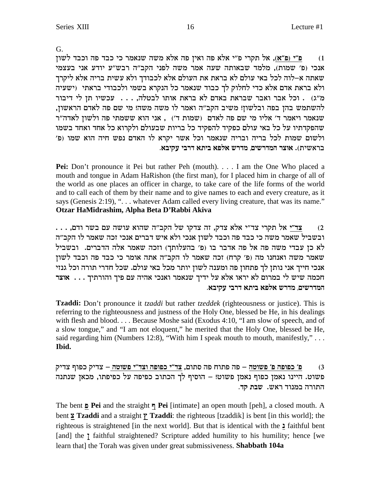G.

פ״י (פ״א), אל תקרי פ״י אלא פה ואין פה אלא משה שנאמר כי כבד פה וכבד לשון  $(1)$ אנכי (פ׳ שמות), מלמד שבאותה שעה אמר משה לפני הקב״ה רבש״ע יודע אני בעצמי שאתה א–לוה לכל באי עולם לא בראת את העולם אלא לכבודך ולא עשית בריה אלא ליקרך ולא בראת אדם אלא כדי לחלוק לך כבוד שנאמר כל הנקרא בשמי ולכבודי בראתי (ישעיה מ"ג) . וכל אבר ואבר שבראת באדם לא בראת אותו לבטלה, . . . עכשיו תן לי דיבור להשתמש בהן בפה ובלשון! משיב הקב"ה ואמר לו משה משה! מי שם פה לאדם הראשון, שנאמר ויאמר ד' אליו מי שם פה לאדם (שמות ד') , אני הוא ששמתי פה ולשון לאדה"ר שהפקדתיו על כל באי עולם כפקיד להפקיד כל בריות שבעולם ולקרוא כל אחד ואחד בשמו ולשום שמות לכל בריה ובריה שנאמר וכל אשר יקרא לו האדם נפש חיה הוא שמו (פ' בראשית). אוצר המדרשים, מדרש אלפא ביתא דרבי עקיבא.

Pei: Don't pronounce it Pei but rather Peh (mouth). . . . I am the One Who placed a mouth and tongue in Adam HaRishon (the first man), for I placed him in charge of all of the world as one places an officer in charge, to take care of the life forms of the world and to call each of them by their name and to give names to each and every creature, as it says (Genesis 2:19), "... whatever Adam called every living creature, that was its name." Otzar HaMidrashim, Alpha Beta D'Rabbi Akiva

... צד"י אל תקרי צד"י אלא צדק, זה צדקו של הקב"ה שהוא עושה עם בשר ודם,  $(2)$ ובשביל שאמר משה כי כבד פה וכבד לשון אנכי ולא איש דברים אנכי זכה שאמר לו הקב"ה לא כן עבדי משה פה אל פה אדבר בו (פ' בהעלותך) וזכה שאמר אלה הדברים. ובשביל שאמר משה ואנחנו מה (פ' קרח) זכה שאמר לו הקב"ה אתה אומר כי כבד פה וכבד לשון אנכי חייך אני נותן לך פתחון פה ומענה לשון יותר מכל באי עולם. שכל חדרי תורה וכל גנזי חכמה שיש לי במרום לא יראו אלא על ידיך שנאמר ואנכי אהיה עם פיך והורתיך . . . . אוצר המדרשים, מדרש אלפא ביתא דרבי עקיבא.

**Tzaddi:** Don't pronounce it *tzaddi* but rather *tzeddek* (righteousness or justice). This is referring to the righteousness and justness of the Holy One, blessed be He, in his dealings with flesh and blood.... Because Moshe said (Exodus 4:10, "I am slow of speech, and of a slow tongue," and "I am not eloquent," he merited that the Holy One, blessed be He, said regarding him (Numbers 12:8), "With him I speak mouth to mouth, manifestly," . . . Ibid.

<u>פ' כפופה פ' פשוטה</u> – פה פתוח פה סתום, צד"י כפופה וצד"י פשוטה – צדיק כפוף צדיק  $(3)$ פשוט. היינו נאמן כפוף נאמן פשוט! – הוסיף לך הכתוב כפיפה על כפיפתו, מכאן שנתנה התורה במנוד ראש. שבת קד.

The bent **D** Pei and the straight  $\nabla \cdot$  Pei [intimate] an open mouth [peh], a closed mouth. A bent **2 Tzaddi** and a straight  $\gamma$  **Tzaddi**: the righteous [tzaddik] is bent [in this world]; the righteous is straightened [in the next world]. But that is identical with the 1 faithful bent [and] the *r* faithful straightened? Scripture added humility to his humility; hence [we learn that] the Torah was given under great submissiveness. Shabbath 104a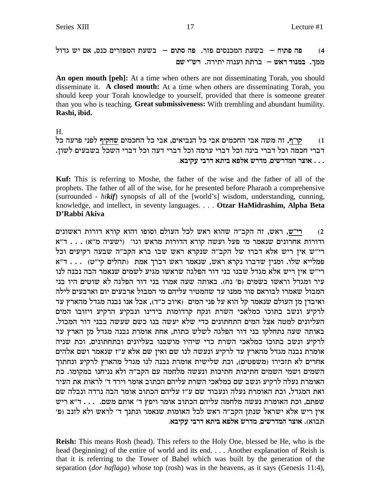פה פתוח – בשעת המכנסים פזר. פה סתום – בשעת המפזרים כנס, אם יש גדול  $(4)$ ממך. במנוד ראש – ברתת וענוה יתירה. רש"י שם

An open mouth [peh]: At a time when others are not disseminating Torah, you should disseminate it. A closed mouth: At a time when others are disseminating Torah, you should keep your Torah knowledge to yourself, provided that there is someone greater than you who is teaching. Great submissiveness: With trembling and abundant humility. Rashi, ibid.

 $H_{\cdot}$ 

קו״ף, זה משה אבי החכמים אבי כל הנביאים, אבי כל החכמים שהקיף לפני פרעה כל  $(1)$ דברי חכמה וכל דברי בינה וכל דברי ערמה וכל דברי דעה וכל דברי השכל בשבעים לשון. . . . אוצר המדרשים, מדרש אלפא ביתא דרבי עקיבא.

Kuf: This is referring to Moshe, the father of the wise and the father of all of the prophets. The father of all of the wise, for he presented before Pharaoh a comprehensive (surrounded - hikif) synopsis of all of the [world's] wisdom, understanding, cunning, knowledge, and intellect, in seventy languages. . . . Otzar HaMidrashim, Alpha Beta D'Rabbi Akiva

רי"ש, ראש, זה הקב"ה שהוא ראש לכל העולם וסופו והוא קורא דורות ראשונים  $(2)$ רי"ש אין ריש אלא דברו של הקב"ה שנקרא ראש שבו ברא הקב"ה שבעה רקיעים וכל פמלייא שלו. ומנין שדברו נקרא ראש, שנאמר ראש דברך אמת (תהלים קי"ט) ... ד"א רי"ש אין ריש אלא מגדל שבנו בני דור הפלגה שראשו מגיע לשמים שנאמר הבה נבנה לנו עיר ומגדל וראשו בשמים (פ׳ נח). באותה שעה אמרו בני דור הפלגה לא שוטים היו בני המבול שאמרו לבוראם סור ממנו עד שהמטיר עליהם מי המבול ארבעים יום וארבעים לילה ואיבדן מן העולם שנאמר קל הוא על פני המים (איוב כ"ד), אבל אנו נבנה מגדל מהארץ עד לרקיע ונשב בתוכו כמלאכי השרת ונקח קרדומות בידינו ונבקיע הרקיע ויזובו המים העליונים למטה אצל המים התחתונים כדי שלא יעשה בנו כשם שעשה בבני דור המבול. באותה שעה נתחלקו בני דור הפלגה לשלש כתות, אחת אומרת נבנה מגדל מן הארץ עד לרקיע ונשב בתוכו כמלאכי השרת כדי שיהיו מושבנו בעליונים ובתחתונים, וכת שניה אומרת נבנה מגדל מהארץ עד לרקיע ונעשה לנו שם ואין שם אלא ע״ז שנאמר ושם אלהים אחרים לא תזכירו (משפטים), וכת שלישית אומרת נבנה לנו מגדל מהארץ לרקיע ונחתוך השמים ושמי השמים חתיכות חתיכות ונעשה מלחמה עם הקב"ה ולא נניחנו במקומו. כת .<br>האומרת נעלה לרקיע ונשב שם כמלאכי השרת עליהם הכתוב אומר וירד ד׳ לראות את העיר .<br>ואת המגדל, וכת האומרת נעלה ונעבוד שם ע״ז עליהם הכתוב אומר הבה נרדה ונבלה שם שפתם, וכת האומרת נעשה מלחמה עליהם הכתוב אומר ויפץ ד׳ אותם משם. . . . ד״א ריש אין ריש אלא ישראל שנתן הקב"ה ראש לכל האומות שנאמר ונתנך ד' לראש ולא לזנב (פ' תבוא). אוצר המדרשים, מדרש אלפא ביתא דרבי עקיבא.

Reish: This means Rosh (head). This refers to the Holy One, blessed be He, who is the head (beginning) of the entire of world and its end.... Another explanation of Reish is that it is referring to the Tower of Babel which was built by the generation of the separation (*dor haflaga*) whose top (rosh) was in the heavens, as it says (Genesis 11:4),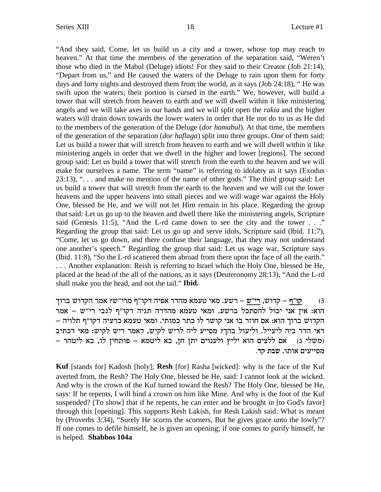"And they said, Come, let us build us a city and a tower, whose top may reach to heaven." At that time the members of the generation of the separation said, "Weren't those who died in the Mabul (Deluge) idiots! For they said to their Creator (Job 21:14), "Depart from us," and He caused the waters of the Deluge to rain upon them for forty days and forty nights and destroyed them from the world, as it says (Job 24:18), " He was swift upon the waters; their portion is cursed in the earth." We, however, will build a tower that will stretch from heaven to earth and we will dwell within it like ministering angels and we will take axes in our hands and we will split open the *rakia* and the higher waters will drain down towards the lower waters in order that He not do to us as He did to the members of the generation of the Deluge (*dor hamabul*). At that time, the members of the generation of the separation (*dor haflaga*) split into three groups. One of them said: Let us build a tower that will stretch from heaven to earth and we will dwell within it like ministering angels in order that we dwell in the higher and lower [regions]. The second group said: Let us build a tower that will stretch from the earth to the heaven and we will make for ourselves a name. The term "name" is referring to idolatry as it says (Exodus 23:13), ". . . and make no mention of the name of other gods." The third group said: Let us build a tower that will stretch from the earth to the heaven and we will cut the lower heavens and the upper heavens into small pieces and we will wage war against the Holy One, blessed be He, and we will not let Him remain in his place. Regarding the group that said: Let us go up to the heaven and dwell there like the ministering angels, Scripture said (Genesis 11:5), "And the L-rd came down to see the city and the tower . . ." Regarding the group that said: Let us go up and serve idols, Scripture said (Ibid. 11:7), "Come, let us go down, and there confuse their language, that they may not understand one another's speech." Regarding the group that said: Let us wage war, Scripture says (Ibid. 11:8), "So the L-rd scattered them abroad from there upon the face of all the earth." . . . Another explanation: Reish is referring to Israel which the Holy One, blessed be He, placed at the head of the all of the nations, as it says (Deuteronomy 28:13), "And the L-rd shall make you the head, and not the tail."**Ibid.**

ק<u>ו"ף</u> – קדוש, <u>רי"ש</u> – רשע. מאי טעמא מהדר אפיה דקו"ף מרי"ש? אמר הקדוש ברוך הוא: אין אני יכול להסתכל ברשע. ומאי טעמא מהדרה תגיה דקו"ף לגבי רי"ש – אמר הקדוש ברוך הוא: אם חוזר בו אני קושר לו כתר כמותי. ומאי טעמא כרעיה דקו"ף תלויה דאי הדר ביה ליעייל. וליעול בהך? מסייע ליה לריש לקיש, דאמר ריש לקיש: מאי דכתיב  $-$  משלי ג) אם ללצים הוא יליץ ולענוים יתן חן, בא ליטמא - פותחין לו, בא ליטהר **מסייעים אותו. שבת קד.** 

**Kuf** [stands for] Kadosh [holy]; **Resh** [for] Rasha [wicked]: why is the face of the Kuf averted from, the Resh? The Holy One, blessed be He, said: I cannot look at the wicked. And why is the crown of the Kuf turned toward the Resh? The Holy One, blessed be He, says: If he repents, I will bind a crown on him like Mine. And why is the foot of the Kuf suspended? [To show] that if he repents, he can enter and be brought in [to God's favor] through this [opening]. This supports Resh Lakish, for Resh Lakish said: What is meant by (Proverbs 3:34), "Surely He scorns the scorners, But he gives grace unto the lowly"? If one comes to defile himself, he is given an opening; if one comes to purify himself, he is helped. **Shabbos 104a**